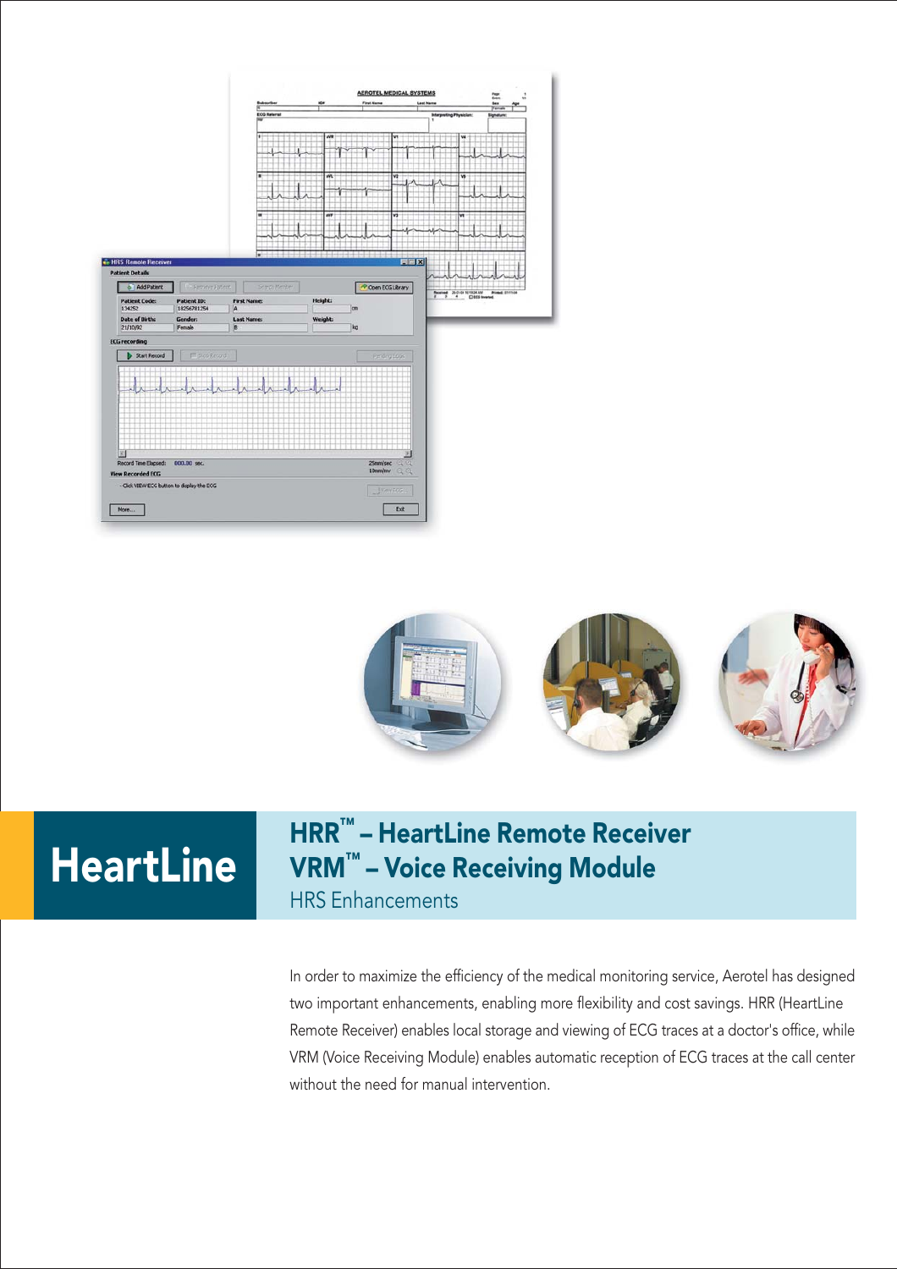



# **HeartLine**

## HRR™ – HeartLine Remote Receiver VRM™ – Voice Receiving Module

HRS Enhancements

In order to maximize the efficiency of the medical monitoring service, Aerotel has designed two important enhancements, enabling more flexibility and cost savings. HRR (HeartLine Remote Receiver) enables local storage and viewing of ECG traces at a doctor's office, while VRM (Voice Receiving Module) enables automatic reception of ECG traces at the call center without the need for manual intervention.